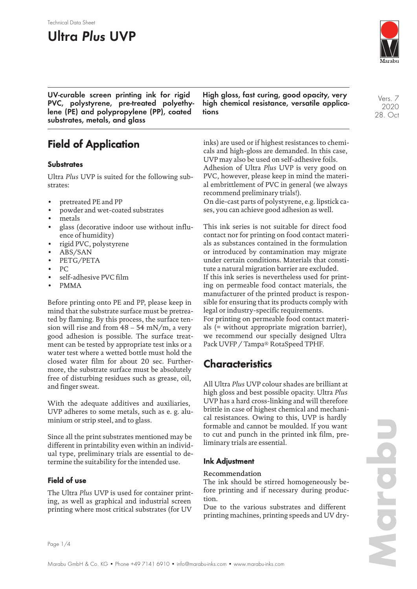# **Ultra Plus UVP**

Technical Data Sheet



Vers. 7 2020 28. Oct

**UV-curable screen printing ink for rigid PVC, polystyrene, pre-treated polyethylene (PE) and polypropylene (PP), coated substrates, metals, and glass**

# **Field of Application**

### **Substrates**

Ultra *Plus* UVP is suited for the following substrates:

- pretreated PE and PP
- powder and wet-coated substrates
- metals
- glass (decorative indoor use without influence of humidity)
- rigid PVC, polystyrene
- ABS/SAN
- PETG/PETA
- PC
- self-adhesive PVC film
- PMMA

Before printing onto PE and PP, please keep in mind that the substrate surface must be pretreated by flaming. By this process, the surface tension will rise and from  $48 - 54$  mN/m, a very good adhesion is possible. The surface treatment can be tested by appropriate test inks or a water test where a wetted bottle must hold the closed water film for about 20 sec. Furthermore, the substrate surface must be absolutely free of disturbing residues such as grease, oil, and finger sweat.

With the adequate additives and auxiliaries, UVP adheres to some metals, such as e. g. aluminium or strip steel, and to glass.

Since all the print substrates mentioned may be different in printability even within an individual type, preliminary trials are essential to determine the suitability for the intended use.

### **Field of use**

The Ultra *Plus* UVP is used for container printing, as well as graphical and industrial screen printing where most critical substrates (for UV

**High gloss, fast curing, good opacity, very high chemical resistance, versatile applications**

inks) are used or if highest resistances to chemicals and high-gloss are demanded. In this case, UVP may also be used on self-adhesive foils. Adhesion of Ultra *Plus* UVP is very good on PVC, however, please keep in mind the material embrittlement of PVC in general (we always recommend preliminary trials!).

On die-cast parts of polystyrene, e.g. lipstick cases, you can achieve good adhesion as well.

This ink series is not suitable for direct food contact nor for printing on food contact materials as substances contained in the formulation or introduced by contamination may migrate under certain conditions. Materials that constitute a natural migration barrier are excluded. If this ink series is nevertheless used for printing on permeable food contact materials, the manufacturer of the printed product is responsible for ensuring that its products comply with legal or industry-specific requirements. For printing on permeable food contact materials (= without appropriate migration barrier), we recommend our specially designed Ultra Pack UVFP / Tampa® RotaSpeed TPHF.

## **Characteristics**

All Ultra *Plus* UVP colour shades are brilliant at high gloss and best possible opacity. Ultra *Plus* UVP has a hard cross-linking and will therefore brittle in case of highest chemical and mechanical resistances. Owing to this, UVP is hardly formable and cannot be moulded. If you want to cut and punch in the printed ink film, preliminary trials are essential.

### **Ink Adjustment**

#### Recommendation

The ink should be stirred homogeneously before printing and if necessary during production.

Due to the various substrates and different printing machines, printing speeds and UV dry-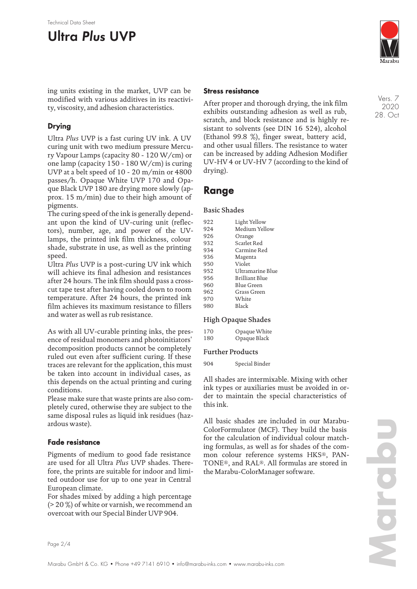#### Technical Data Sheet

# **Ultra Plus UVP**



ing units existing in the market, UVP can be modified with various additives in its reactivity, viscosity, and adhesion characteristics.

### **Drying**

Ultra *Plus* UVP is a fast curing UV ink. A UV curing unit with two medium pressure Mercury Vapour Lamps (capacity 80 - 120 W/cm) or one lamp (capacity 150 - 180 W/cm) is curing UVP at a belt speed of 10 - 20 m/min or 4800 passes/h. Opaque White UVP 170 and Opaque Black UVP 180 are drying more slowly (approx. 15 m/min) due to their high amount of pigments.

The curing speed of the ink is generally dependant upon the kind of UV-curing unit (reflectors), number, age, and power of the UVlamps, the printed ink film thickness, colour shade, substrate in use, as well as the printing speed.

Ultra *Plus* UVP is a post-curing UV ink which will achieve its final adhesion and resistances after 24 hours. The ink film should pass a crosscut tape test after having cooled down to room temperature. After 24 hours, the printed ink film achieves its maximum resistance to fillers and water as well as rub resistance.

As with all UV-curable printing inks, the presence of residual monomers and photoinitiators' decomposition products cannot be completely ruled out even after sufficient curing. If these traces are relevant for the application, this must be taken into account in individual cases, as this depends on the actual printing and curing conditions.

Please make sure that waste prints are also completely cured, otherwise they are subject to the same disposal rules as liquid ink residues (hazardous waste).

### **Fade resistance**

Pigments of medium to good fade resistance are used for all Ultra *Plus* UVP shades. Therefore, the prints are suitable for indoor and limited outdoor use for up to one year in Central European climate.

For shades mixed by adding a high percentage (> 20 %) of white or varnish, we recommend an overcoat with our Special Binder UVP 904.

#### **Stress resistance**

After proper and thorough drying, the ink film exhibits outstanding adhesion as well as rub, scratch, and block resistance and is highly resistant to solvents (see DIN 16 524), alcohol (Ethanol 99.8 %), finger sweat, battery acid, and other usual fillers. The resistance to water can be increased by adding Adhesion Modifier UV-HV 4 or UV-HV 7 (according to the kind of drying).

### **Range**

#### Basic Shades

| 922 | Light Yellow     |
|-----|------------------|
| 924 | Medium Yellow    |
| 926 | Orange           |
| 932 | Scarlet Red      |
| 934 | Carmine Red      |
| 936 | Magenta          |
| 950 | Violet           |
| 952 | Ultramarine Blue |
| 956 | Brilliant Blue   |
| 960 | Blue Green       |
| 962 | Grass Green      |
| 970 | White            |
| 980 | Black            |

#### High Opaque Shades

| 170 | Opaque White |
|-----|--------------|
| 180 | Opaque Black |

#### Further Products

904 Special Binder

All shades are intermixable. Mixing with other ink types or auxiliaries must be avoided in order to maintain the special characteristics of this ink.

All basic shades are included in our Marabu-ColorFormulator (MCF). They build the basis for the calculation of individual colour matching formulas, as well as for shades of the common colour reference systems HKS®, PAN-TONE®, and RAL®. All formulas are stored in the Marabu-ColorManager software.

Vers. 7 2020 28. Oct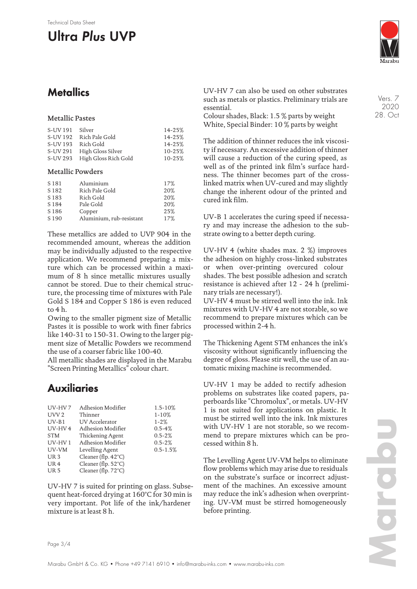# **Ultra Plus UVP**

## **Metallics**

#### Metallic Pastes

| S-UV 191 | Silver                        | $14 - 25%$ |
|----------|-------------------------------|------------|
| S-UV 192 | Rich Pale Gold                | $14 - 25%$ |
|          | S-UV 193 Rich Gold            | $14 - 25%$ |
|          | S-UV 291 High Gloss Silver    | 10-25%     |
|          | S-UV 293 High Gloss Rich Gold | 10-25%     |

#### Metallic Powders

| S <sub>181</sub> | Aluminium                | 17% |
|------------------|--------------------------|-----|
| S <sub>182</sub> | Rich Pale Gold           | 20% |
| S <sub>183</sub> | Rich Gold                | 20% |
| S 184            | Pale Gold                | 20% |
| S <sub>186</sub> | Copper                   | 25% |
| S <sub>190</sub> | Aluminium, rub-resistant | 17% |

These metallics are added to UVP 904 in the recommended amount, whereas the addition may be individually adjusted to the respective application. We recommend preparing a mixture which can be processed within a maximum of 8 h since metallic mixtures usually cannot be stored. Due to their chemical structure, the processing time of mixtures with Pale Gold S 184 and Copper S 186 is even reduced to 4 h.

Owing to the smaller pigment size of Metallic Pastes it is possible to work with finer fabrics like 140-31 to 150-31. Owing to the larger pigment size of Metallic Powders we recommend the use of a coarser fabric like 100-40.

All metallic shades are displayed in the Marabu "Screen Printing Metallics" colour chart.

## **Auxiliaries**

| UV-HV7           | Adhesion Modifier             | 1.5-10%      |
|------------------|-------------------------------|--------------|
| UVV <sub>2</sub> | Thinner                       | $1 - 10%$    |
| $UV-B1$          | <b>UV</b> Accelerator         | $1 - 2%$     |
| UV-HV4           | Adhesion Modifier             | $0.5 - 4%$   |
| <b>STM</b>       | Thickening Agent              | $0.5 - 2%$   |
| $UV$ -HV $1$     | Adhesion Modifier             | $0.5 - 2%$   |
| UV-VM            | Levelling Agent               | $0.5 - 1.5%$ |
| UR <sub>3</sub>  | Cleaner (flp. 42°C)           |              |
| UR <sub>4</sub>  | Cleaner (flp. $52^{\circ}$ C) |              |
| UR <sub>5</sub>  | Cleaner (flp. 72°C)           |              |

UV-HV 7 is suited for printing on glass. Subsequent heat-forced drying at 160°C for 30 min is very important. Pot life of the ink/hardener mixture is at least 8 h.

UV-HV 7 can also be used on other substrates such as metals or plastics. Preliminary trials are essential.

Colour shades, Black: 1.5 % parts by weight White, Special Binder: 10 % parts by weight

The addition of thinner reduces the ink viscosity if necessary. An excessive addition of thinner will cause a reduction of the curing speed, as well as of the printed ink film's surface hardness. The thinner becomes part of the crosslinked matrix when UV-cured and may slightly change the inherent odour of the printed and cured ink film.

UV-B 1 accelerates the curing speed if necessary and may increase the adhesion to the substrate owing to a better depth curing.

UV-HV 4 (white shades max. 2 %) improves the adhesion on highly cross-linked substrates or when over-printing overcured colour shades. The best possible adhesion and scratch resistance is achieved after 12 - 24 h (preliminary trials are necessary!).

UV-HV 4 must be stirred well into the ink. Ink mixtures with UV-HV 4 are not storable, so we recommend to prepare mixtures which can be processed within 2-4 h.

The Thickening Agent STM enhances the ink's viscosity without significantly influencing the degree of gloss. Please stir well, the use of an automatic mixing machine is recommended.

UV-HV 1 may be added to rectify adhesion problems on substrates like coated papers, paperboards like "Chromolux", or metals. UV-HV 1 is not suited for applications on plastic. It must be stirred well into the ink. Ink mixtures with UV-HV 1 are not storable, so we recommend to prepare mixtures which can be processed within 8 h.

The Levelling Agent UV-VM helps to eliminate flow problems which may arise due to residuals on the substrate's surface or incorrect adjustment of the machines. An excessive amount may reduce the ink's adhesion when overprinting. UV-VM must be stirred homogeneously before printing.



Vers. 7 2020 28. Oct